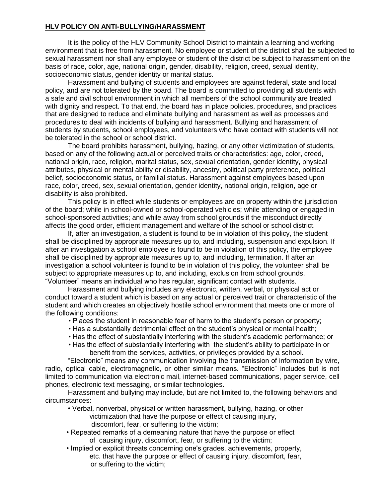## **HLV POLICY ON ANTI-BULLYING/HARASSMENT**

It is the policy of the HLV Community School District to maintain a learning and working environment that is free from harassment. No employee or student of the district shall be subjected to sexual harassment nor shall any employee or student of the district be subject to harassment on the basis of race, color, age, national origin, gender, disability, religion, creed, sexual identity, socioeconomic status, gender identity or marital status.

Harassment and bullying of students and employees are against federal, state and local policy, and are not tolerated by the board. The board is committed to providing all students with a safe and civil school environment in which all members of the school community are treated with dignity and respect. To that end, the board has in place policies, procedures, and practices that are designed to reduce and eliminate bullying and harassment as well as processes and procedures to deal with incidents of bullying and harassment. Bullying and harassment of students by students, school employees, and volunteers who have contact with students will not be tolerated in the school or school district.

The board prohibits harassment, bullying, hazing, or any other victimization of students, based on any of the following actual or perceived traits or characteristics: age, color, creed, national origin, race, religion, marital status, sex, sexual orientation, gender identity, physical attributes, physical or mental ability or disability, ancestry, political party preference, political belief, socioeconomic status, or familial status. Harassment against employees based upon race, color, creed, sex, sexual orientation, gender identity, national origin, religion, age or disability is also prohibited.

This policy is in effect while students or employees are on property within the jurisdiction of the board; while in school-owned or school-operated vehicles; while attending or engaged in school-sponsored activities; and while away from school grounds if the misconduct directly affects the good order, efficient management and welfare of the school or school district.

If, after an investigation, a student is found to be in violation of this policy, the student shall be disciplined by appropriate measures up to, and including, suspension and expulsion. If after an investigation a school employee is found to be in violation of this policy, the employee shall be disciplined by appropriate measures up to, and including, termination. If after an investigation a school volunteer is found to be in violation of this policy, the volunteer shall be subject to appropriate measures up to, and including, exclusion from school grounds. "Volunteer" means an individual who has regular, significant contact with students.

Harassment and bullying includes any electronic, written, verbal, or physical act or conduct toward a student which is based on any actual or perceived trait or characteristic of the student and which creates an objectively hostile school environment that meets one or more of the following conditions:

- Places the student in reasonable fear of harm to the student's person or property;
- Has a substantially detrimental effect on the student's physical or mental health;
- Has the effect of substantially interfering with the student's academic performance; or
- Has the effect of substantially interfering with the student's ability to participate in or benefit from the services, activities, or privileges provided by a school.

"Electronic" means any communication involving the transmission of information by wire, radio, optical cable, electromagnetic, or other similar means. "Electronic" includes but is not limited to communication via electronic mail, internet-based communications, pager service, cell phones, electronic text messaging, or similar technologies.

Harassment and bullying may include, but are not limited to, the following behaviors and circumstances:

- Verbal, nonverbal, physical or written harassment, bullying, hazing, or other victimization that have the purpose or effect of causing injury, discomfort, fear, or suffering to the victim;
- Repeated remarks of a demeaning nature that have the purpose or effect of causing injury, discomfort, fear, or suffering to the victim;
- Implied or explicit threats concerning one's grades, achievements, property, etc. that have the purpose or effect of causing injury, discomfort, fear, or suffering to the victim;